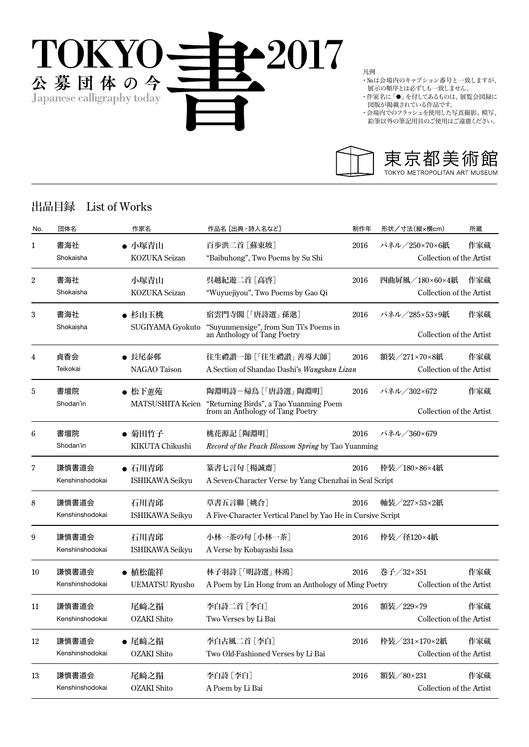

凡例

・№は会場内のキャプション番号と一致しますが、 展示の順序とは必ずしも一致しません。

- <del>^^</del><br>・作家名に「●」を付してあるものは、展覧会図録に 図版が掲載されている作品です。
- ・会場内でのフラッシュを使用した写真撮影、模写、
- 鉛筆以外の筆記用具のご使用はご遠慮ください。



## 出品目録 List of Works

| No. | 団体名                      | 作家名                              | 作品名 [出典・詩人名など]                                                                                    | 制作年  | 形状/寸法(縦×横cm)                               | 所蔵  |
|-----|--------------------------|----------------------------------|---------------------------------------------------------------------------------------------------|------|--------------------------------------------|-----|
| 1   | 書海社<br>Shokaisha         | ● 小塚青山<br>KOZUKA Seizan          | 百歩洪二首 [蘇東坡]<br>"Baibuhong", Two Poems by Su Shi                                                   | 2016 | パネル/250×70×6紙<br>Collection of the Artist  | 作家蔵 |
| 2   | 書海社<br>Shokaisha         | 小塚青山<br>KOZUKA Seizan            | 呉越紀遊二首 [高啓]<br>"Wuyuejiyou", Two Poems by Gao Qi                                                  | 2016 | 四曲屛風/180×60×4紙<br>Collection of the Artist | 作家蔵 |
| 3   | 書海社<br>Shokaisha         | ● 杉山玉桃<br>SUGIYAMA Gyokuto       | 宿雲門寺閣 [「唐詩選」 孫逖]<br>"Suyunmensige", from Sun Ti's Poems in<br>an Anthology of Tang Poetry         | 2016 | パネル/285×53×9紙<br>Collection of the Artist  | 作家蔵 |
| 4   | 貞香会<br>Teikokai          | ● 長尾泰邨<br><b>NAGAO</b> Taison    | 往生禮讚一節 [「往生禮讚」善導大師]<br>A Section of Shandao Dashi's Wangshan Lizan                                | 2016 | 額装/271×70×8紙<br>Collection of the Artist   | 作家蔵 |
| 5   | 書壇院<br>Shodan'in         | ● 松下蕙苑<br>MATSUSHITA Keien       | 陶淵明詩-帰鳥 [「唐詩選」 陶淵明]<br>"Returning Birds", a Tao Yuanming Poem<br>from an Anthology of Tang Poetry | 2016 | パネル/302×672<br>Collection of the Artist    | 作家蔵 |
| 6   | 書壇院<br>Shodan'in         | ● 菊田竹子<br>KIKUTA Chikushi        | 桃花源記 [陶淵明]<br>Record of the Peach Blossom Spring by Tao Yuanming                                  | 2016 | パネル/360×679                                |     |
| 7   | 謙慎書道会<br>Kenshinshodokai | ● 石川青邱<br><b>ISHIKAWA Seikyu</b> | 篆書七言句 [楊誠齋]<br>A Seven-Character Verse by Yang Chenzhai in Seal Script                            | 2016 | 枠装/180×86×4紙                               |     |
| 8   | 謙慎書道会<br>Kenshinshodokai | 石川青邱<br><b>ISHIKAWA Seikyu</b>   | 草書五言聯 [姚合]<br>A Five-Character Vertical Panel by Yao He in Cursive Script                         | 2016 | 軸装/227×53×2紙                               |     |
| 9   | 謙慎書道会<br>Kenshinshodokai | 石川青邱<br><b>ISHIKAWA Seikyu</b>   | 小林一茶の句 [小林一茶]<br>A Verse by Kobayashi Issa                                                        | 2016 | 枠装/径120×4紙                                 |     |
| 10  | 謙慎書道会<br>Kenshinshodokai | ● 植松龍祥<br><b>UEMATSU Ryusho</b>  | 林子羽詩 [「明詩選」 林鴻]<br>A Poem by Lin Hong from an Anthology of Ming Poetry                            | 2016 | 巻子/32×351<br>Collection of the Artist      | 作家蔵 |
| 11  | 謙慎書道会<br>Kenshinshodokai | 尾﨑之搨<br>OZAKI Shito              | 李白詩二首 [李白]<br>Two Verses by Li Bai                                                                | 2016 | 額装/229×79<br>Collection of the Artist      | 作家蔵 |
| 12  | 謙慎書道会<br>Kenshinshodokai | ● 尾﨑之搨<br><b>OZAKI</b> Shito     | 李白古風二首 [李白]<br>Two Old-Fashioned Verses by Li Bai                                                 | 2016 | 枠装/231×170×2紙<br>Collection of the Artist  | 作家蔵 |
| 13  | 謙慎書道会<br>Kenshinshodokai | 尾﨑之搨<br><b>OZAKI</b> Shito       | 李白詩[李白]<br>A Poem by Li Bai                                                                       | 2016 | 額装/80×231<br>Collection of the Artist      | 作家蔵 |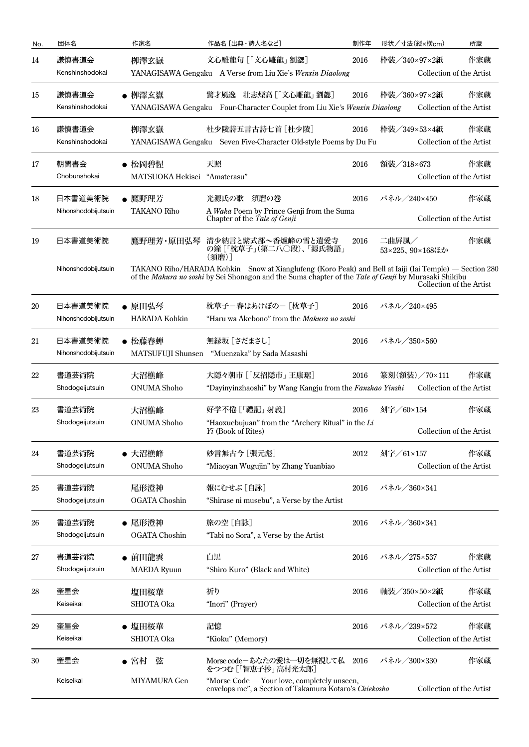| No. | 団体名                            | 作家名                                    | 作品名 [出典・詩人名など]                                                                                                                                                                                                 | 制作年  | 形状/寸法(縦×横cm)             | 所蔵                              |
|-----|--------------------------------|----------------------------------------|----------------------------------------------------------------------------------------------------------------------------------------------------------------------------------------------------------------|------|--------------------------|---------------------------------|
| 14  | 謙慎書道会<br>Kenshinshodokai       | 栁澤玄嶽                                   | 文心雕龍句 [「文心雕龍」 劉勰]<br>YANAGISAWA Gengaku A Verse from Liu Xie's Wenxin Diaolong                                                                                                                                 | 2016 | 枠装/340×97×2紙             | 作家蔵<br>Collection of the Artist |
| 15  | 謙慎書道会<br>Kenshinshodokai       | ● 栁澤玄嶽                                 | 驚才風逸 壮志煙高 [「文心雕龍」 劉勰]<br>YANAGISAWA Gengaku Four-Character Couplet from Liu Xie's Wenxin Diaolong                                                                                                              | 2016 | 枠装/360×97×2紙             | 作家蔵<br>Collection of the Artist |
| 16  | 謙慎書道会<br>Kenshinshodokai       | 栁澤玄嶽                                   | 杜少陵詩五言古詩七首 [杜少陵]<br>YANAGISAWA Gengaku Seven Five-Character Old-style Poems by Du Fu                                                                                                                           | 2016 | 枠装/349×53×4紙             | 作家蔵<br>Collection of the Artist |
| 17  | 朝聞書会<br>Chobunshokai           | ● 松岡碧惺<br>MATSUOKA Hekisei "Amaterasu" | 天照                                                                                                                                                                                                             | 2016 | 額装/318×673               | 作家蔵<br>Collection of the Artist |
| 18  | 日本書道美術院<br>Nihonshodobijutsuin | ● 鷹野理芳<br><b>TAKANO Riho</b>           | 光源氏の歌 須磨の巻<br>A Waka Poem by Prince Genji from the Suma<br>Chapter of the Tale of Genji                                                                                                                        | 2016 | パネル/240×450              | 作家蔵<br>Collection of the Artist |
| 19  | 日本書道美術院                        |                                        | 鷹野理芳・原田弘琴 清少納言と紫式部~香爐峰の雪と遺愛寺<br>の鐘 [「枕草子」(第二八〇段)、「源氏物語」<br>(須磨)]                                                                                                                                               | 2016 | 二曲屏風/<br>53×225、90×168ほか | 作家蔵                             |
|     | Nihonshodobijutsuin            |                                        | TAKANO Riho/HARADA Kohkin Snow at Xianglufeng (Koro Peak) and Bell at Iaiji (Iai Temple) — Section 280<br>of the Makura no soshi by Sei Shonagon and the Suma chapter of the Tale of Genji by Murasaki Shikibu |      |                          | Collection of the Artist        |
| 20  | 日本書道美術院<br>Nihonshodobijutsuin | ● 原田弘琴<br>HARADA Kohkin                | 枕草子-春はあけぼの-[枕草子]<br>"Haru wa Akebono" from the Makura no soshi                                                                                                                                                 | 2016 | パネル/240×495              |                                 |
| 21  | 日本書道美術院<br>Nihonshodobijutsuin | ● 松藤春蝉<br><b>MATSUFUJI Shunsen</b>     | 無縁坂 [さだまさし]<br>"Muenzaka" by Sada Masashi                                                                                                                                                                      | 2016 | パネル/350×560              |                                 |
| 22  | 書道芸術院<br>Shodogeijutsuin       | 大沼樵峰<br><b>ONUMA</b> Shoho             | 大隠々朝市 [「反招隠市」 王康琚]<br>"Dayinyinzhaoshi" by Wang Kangju from the Fanzhao Yinshi                                                                                                                                 | 2016 | 篆刻(額装)/70×111            | 作家蔵<br>Collection of the Artist |
| 23  | 書道芸術院<br>Shodogeijutsuin       | 大沼樵峰<br><b>ONUMA</b> Shoho             | 好学不倦 [「禮記」射義]<br>"Haoxuebujuan" from the "Archery Ritual" in the Li<br>Yi (Book of Rites)                                                                                                                      | 2016 | 刻字/60×154                | 作家蔵<br>Collection of the Artist |
| 24  | 書道芸術院<br>Shodogeijutsuin       | ● 大沼樵峰<br><b>ONUMA</b> Shoho           | 妙言無古今 [張元彪]<br>"Miaoyan Wugujin" by Zhang Yuanbiao                                                                                                                                                             | 2012 | 刻字/61×157                | 作家蔵<br>Collection of the Artist |
| 25  | 書道芸術院<br>Shodogeijutsuin       | 尾形澄神<br>OGATA Choshin                  | 報にむせぶ [自詠]<br>"Shirase ni musebu", a Verse by the Artist                                                                                                                                                       | 2016 | パネル/360×341              |                                 |
| 26  | 書道芸術院<br>Shodogeijutsuin       | ● 尾形澄神<br><b>OGATA Choshin</b>         | 旅の空 [自詠]<br>"Tabi no Sora", a Verse by the Artist                                                                                                                                                              | 2016 | パネル/360×341              |                                 |
| 27  | 書道芸術院<br>Shodogeijutsuin       | ● 前田龍雲<br><b>MAEDA</b> Ryuun           | 白黒<br>"Shiro Kuro" (Black and White)                                                                                                                                                                           | 2016 | パネル/275×537              | 作家蔵<br>Collection of the Artist |
| 28  | 奎星会<br>Keiseikai               | 塩田桜華<br>SHIOTA Oka                     | 祈り<br>"Inori" (Prayer)                                                                                                                                                                                         | 2016 | 軸装/350×50×2紙             | 作家蔵<br>Collection of the Artist |
| 29  | 奎星会<br>Keiseikai               | ● 塩田桜華<br>SHIOTA Oka                   | 記憶<br>"Kioku" (Memory)                                                                                                                                                                                         | 2016 | パネル/239×572              | 作家蔵<br>Collection of the Artist |
| 30  | 奎星会<br>Keiseikai               | 弦<br>● 宮村<br>MIYAMURA Gen              | Morse code-あなたの愛は一切を無視して私<br>をつつむ [「智恵子抄」 高村光太郎]<br>"Morse Code - Your love, completely unseen,                                                                                                                | 2016 | パネル/300×330              | 作家蔵                             |
|     |                                |                                        | envelops me", a Section of Takamura Kotaro's Chiekosho                                                                                                                                                         |      |                          | Collection of the Artist        |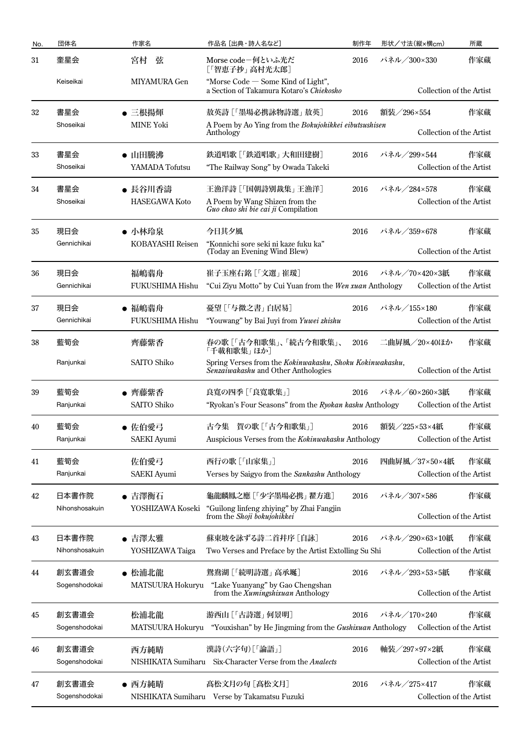| No. | 団体名            | 作家名                  | 作品名 [出典・詩人名など]                                                                                  | 制作年  | 形状/寸法(縦×横cm)             | 所蔵  |
|-----|----------------|----------------------|-------------------------------------------------------------------------------------------------|------|--------------------------|-----|
| 31  | 奎星会            | 宮村<br>弦              | Morse code-何といふ光だ<br>[「智恵子抄」 高村光太郎]                                                             | 2016 | パネル/300×330              | 作家蔵 |
|     | Keiseikai      | MIYAMURA Gen         | "Morse $Code - Some$ Kind of Light",<br>a Section of Takamura Kotaro's Chiekosho                |      | Collection of the Artist |     |
| 32  | 書星会            | ● 三根揚煇               | 敖英詩 [「墨場必携詠物詩選」 敖英]                                                                             | 2016 | 額装/296×554               | 作家蔵 |
|     | Shoseikai      | <b>MINE Yoki</b>     | A Poem by Ao Ying from the Bokujohikkei eibutsushisen<br>Anthology                              |      | Collection of the Artist |     |
| 33  | 書星会            | ● 山田騰沸               | 鉄道唱歌 [「鉄道唱歌」大和田建樹]                                                                              | 2016 | パネル/299×544              | 作家蔵 |
|     | Shoseikai      | YAMADA Tofutsu       | "The Railway Song" by Owada Takeki                                                              |      | Collection of the Artist |     |
| 34  | 書星会            | ● 長谷川香濤              | 王漁洋詩 [「国朝詩別裁集」 王漁洋]                                                                             | 2016 | パネル/284×578              | 作家蔵 |
|     | Shoseikai      | <b>HASEGAWA Koto</b> | A Poem by Wang Shizen from the<br>Guo chao shi bie cai ji Compilation                           |      | Collection of the Artist |     |
| 35  | 現日会            | ● 小林玲泉               | 今日其夕風                                                                                           | 2016 | パネル/359×678              | 作家蔵 |
|     | Gennichikai    | KOBAYASHI Reisen     | "Konnichi sore seki ni kaze fuku ka"<br>(Today an Evening Wind Blew)                            |      | Collection of the Artist |     |
| 36  | 現日会            | 福嶋翡舟                 | 崔子玉座右銘 「「文選」崔瑗]                                                                                 | 2016 | パネル/70×420×3紙            | 作家蔵 |
|     | Gennichikai    | FUKUSHIMA Hishu      | "Cui Ziyu Motto" by Cui Yuan from the Wen xuan Anthology                                        |      | Collection of the Artist |     |
| 37  | 現日会            | ● 福嶋翡舟               | 憂望 [「与微之書」白居易]                                                                                  | 2016 | パネル/155×180              | 作家蔵 |
|     | Gennichikai    | FUKUSHIMA Hishu      | "Youwang" by Bai Juyi from Yuwei zhishu                                                         |      | Collection of the Artist |     |
| 38  | 藍筍会            | 齊藤紫香                 | 春の歌 [「古今和歌集」、「続古今和歌集」、<br>「千載和歌集」ほか]                                                            | 2016 | 二曲屛風/20×40ほか             | 作家蔵 |
|     | Ranjunkai      | SAITO Shiko          | Spring Verses from the Kokinwakashu, Shoku Kokinwakashu,<br>Senzaiwakashu and Other Anthologies |      | Collection of the Artist |     |
| 39  | 藍筍会            | ● 齊藤紫香               | 良寛の四季 [「良寛歌集」]                                                                                  | 2016 | パネル/60×260×3紙            | 作家蔵 |
|     | Ranjunkai      | SAITO Shiko          | "Ryokan's Four Seasons" from the Ryokan kashu Anthology                                         |      | Collection of the Artist |     |
| 40  | 藍筍会            | ● 佐伯愛弓               | 古今集 賀の歌 [「古今和歌集」]                                                                               | 2016 | 額装/225×53×4紙             | 作家蔵 |
|     | Ranjunkai      | <b>SAEKI</b> Ayumi   | Auspicious Verses from the Kokinwakashu Anthology                                               |      | Collection of the Artist |     |
| 41  | 藍筍会            | 佐伯愛弓                 | 西行の歌 [「山家集」]                                                                                    | 2016 | 四曲屏風/37×50×4紙            | 作家蔵 |
|     | Ranjunkai      | <b>SAEKI</b> Ayumi   | Verses by Saigyo from the Sankashu Anthology                                                    |      | Collection of the Artist |     |
| 42  | 日本書作院          | ● 吉澤衡石               | 龜龍麟鳳之應 [「少字墨場必携」 翟方進]                                                                           | 2016 | パネル/307×586              | 作家蔵 |
|     | Nihonshosakuin | YOSHIZAWA Koseki     | "Guilong linfeng zhiying" by Zhai Fangjin<br>from the Shoji bokujohikkei                        |      | Collection of the Artist |     |
| 43  | 日本書作院          | ● 吉澤太雅               | 蘇東坡を詠ずる詩二首幷序 [自詠]                                                                               | 2016 | パネル/290×63×10紙           | 作家蔵 |
|     | Nihonshosakuin | YOSHIZAWA Taiga      | Two Verses and Preface by the Artist Extolling Su Shi                                           |      | Collection of the Artist |     |
| 44  | 創玄書道会          | ● 松浦北龍               | 鴛鴦湖 [「続明詩選」 高承埏]                                                                                | 2016 | パネル/293×53×5紙            | 作家蔵 |
|     | Sogenshodokai  | MATSUURA Hokuryu     | "Lake Yuanyang" by Gao Chengshan<br>from the Xumingshixuan Anthology                            |      | Collection of the Artist |     |
| 45  | 創玄書道会          | 松浦北龍                 | 游西山 [「古詩選」 何景明]                                                                                 | 2016 | パネル/170×240              | 作家蔵 |
|     | Sogenshodokai  | MATSUURA Hokuryu     | "Youxishan" by He Jingming from the Gushixuan Anthology                                         |      | Collection of the Artist |     |
| 46  | 創玄書道会          | 西方純晴                 | 漢詩(六字句)[「論語」]                                                                                   | 2016 | 軸装/297×97×2紙             | 作家蔵 |
|     | Sogenshodokai  | NISHIKATA Sumiharu   | Six-Character Verse from the Analects                                                           |      | Collection of the Artist |     |
| 47  | 創玄書道会          | ● 西方純晴               | 髙松文月の句 [髙松文月]                                                                                   | 2016 | パネル/275×417              | 作家蔵 |
|     | Sogenshodokai  |                      | NISHIKATA Sumiharu Verse by Takamatsu Fuzuki                                                    |      | Collection of the Artist |     |